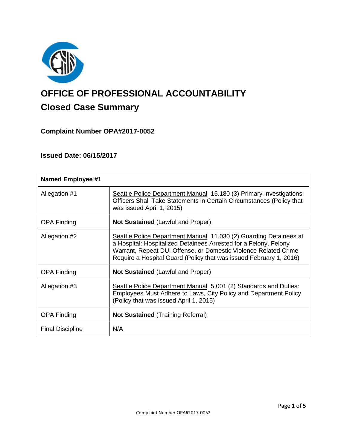

# **OFFICE OF PROFESSIONAL ACCOUNTABILITY Closed Case Summary**

# **Complaint Number OPA#2017-0052**

## **Issued Date: 06/15/2017**

| <b>Named Employee #1</b> |                                                                                                                                                                                                                                                                                |
|--------------------------|--------------------------------------------------------------------------------------------------------------------------------------------------------------------------------------------------------------------------------------------------------------------------------|
| Allegation #1            | Seattle Police Department Manual 15.180 (3) Primary Investigations:<br>Officers Shall Take Statements in Certain Circumstances (Policy that<br>was issued April 1, 2015)                                                                                                       |
| <b>OPA Finding</b>       | <b>Not Sustained (Lawful and Proper)</b>                                                                                                                                                                                                                                       |
| Allegation #2            | Seattle Police Department Manual 11.030 (2) Guarding Detainees at<br>a Hospital: Hospitalized Detainees Arrested for a Felony, Felony<br>Warrant, Repeat DUI Offense, or Domestic Violence Related Crime<br>Require a Hospital Guard (Policy that was issued February 1, 2016) |
| <b>OPA Finding</b>       | <b>Not Sustained (Lawful and Proper)</b>                                                                                                                                                                                                                                       |
| Allegation #3            | Seattle Police Department Manual 5.001 (2) Standards and Duties:<br>Employees Must Adhere to Laws, City Policy and Department Policy<br>(Policy that was issued April 1, 2015)                                                                                                 |
| <b>OPA Finding</b>       | <b>Not Sustained (Training Referral)</b>                                                                                                                                                                                                                                       |
| <b>Final Discipline</b>  | N/A                                                                                                                                                                                                                                                                            |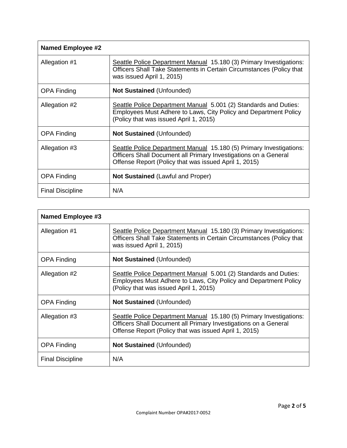| Named Employee #2       |                                                                                                                                                                                                 |
|-------------------------|-------------------------------------------------------------------------------------------------------------------------------------------------------------------------------------------------|
| Allegation #1           | Seattle Police Department Manual 15.180 (3) Primary Investigations:<br>Officers Shall Take Statements in Certain Circumstances (Policy that<br>was issued April 1, 2015)                        |
| <b>OPA Finding</b>      | <b>Not Sustained (Unfounded)</b>                                                                                                                                                                |
| Allegation #2           | Seattle Police Department Manual 5.001 (2) Standards and Duties:<br>Employees Must Adhere to Laws, City Policy and Department Policy<br>(Policy that was issued April 1, 2015)                  |
| <b>OPA Finding</b>      | <b>Not Sustained (Unfounded)</b>                                                                                                                                                                |
| Allegation #3           | Seattle Police Department Manual 15.180 (5) Primary Investigations:<br>Officers Shall Document all Primary Investigations on a General<br>Offense Report (Policy that was issued April 1, 2015) |
| <b>OPA Finding</b>      | <b>Not Sustained (Lawful and Proper)</b>                                                                                                                                                        |
| <b>Final Discipline</b> | N/A                                                                                                                                                                                             |

| Named Employee #3       |                                                                                                                                                                                                 |
|-------------------------|-------------------------------------------------------------------------------------------------------------------------------------------------------------------------------------------------|
| Allegation #1           | Seattle Police Department Manual 15.180 (3) Primary Investigations:<br>Officers Shall Take Statements in Certain Circumstances (Policy that<br>was issued April 1, 2015)                        |
| <b>OPA Finding</b>      | <b>Not Sustained (Unfounded)</b>                                                                                                                                                                |
| Allegation #2           | Seattle Police Department Manual 5.001 (2) Standards and Duties:<br>Employees Must Adhere to Laws, City Policy and Department Policy<br>(Policy that was issued April 1, 2015)                  |
| <b>OPA Finding</b>      | <b>Not Sustained (Unfounded)</b>                                                                                                                                                                |
| Allegation #3           | Seattle Police Department Manual 15.180 (5) Primary Investigations:<br>Officers Shall Document all Primary Investigations on a General<br>Offense Report (Policy that was issued April 1, 2015) |
| <b>OPA Finding</b>      | <b>Not Sustained (Unfounded)</b>                                                                                                                                                                |
| <b>Final Discipline</b> | N/A                                                                                                                                                                                             |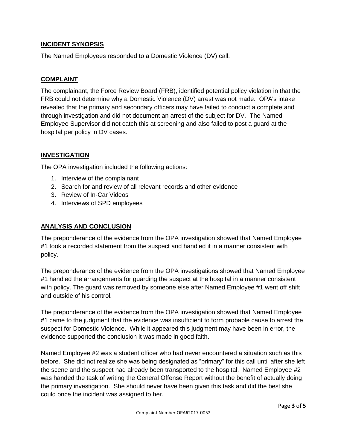## **INCIDENT SYNOPSIS**

The Named Employees responded to a Domestic Violence (DV) call.

## **COMPLAINT**

The complainant, the Force Review Board (FRB), identified potential policy violation in that the FRB could not determine why a Domestic Violence (DV) arrest was not made. OPA's intake revealed that the primary and secondary officers may have failed to conduct a complete and through investigation and did not document an arrest of the subject for DV. The Named Employee Supervisor did not catch this at screening and also failed to post a guard at the hospital per policy in DV cases.

## **INVESTIGATION**

The OPA investigation included the following actions:

- 1. Interview of the complainant
- 2. Search for and review of all relevant records and other evidence
- 3. Review of In-Car Videos
- 4. Interviews of SPD employees

## **ANALYSIS AND CONCLUSION**

The preponderance of the evidence from the OPA investigation showed that Named Employee #1 took a recorded statement from the suspect and handled it in a manner consistent with policy.

The preponderance of the evidence from the OPA investigations showed that Named Employee #1 handled the arrangements for guarding the suspect at the hospital in a manner consistent with policy. The guard was removed by someone else after Named Employee #1 went off shift and outside of his control.

The preponderance of the evidence from the OPA investigation showed that Named Employee #1 came to the judgment that the evidence was insufficient to form probable cause to arrest the suspect for Domestic Violence. While it appeared this judgment may have been in error, the evidence supported the conclusion it was made in good faith.

Named Employee #2 was a student officer who had never encountered a situation such as this before. She did not realize she was being designated as "primary" for this call until after she left the scene and the suspect had already been transported to the hospital. Named Employee #2 was handed the task of writing the General Offense Report without the benefit of actually doing the primary investigation. She should never have been given this task and did the best she could once the incident was assigned to her.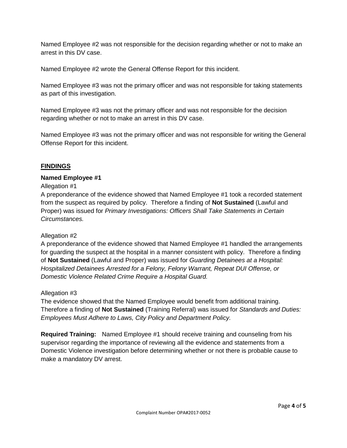Named Employee #2 was not responsible for the decision regarding whether or not to make an arrest in this DV case.

Named Employee #2 wrote the General Offense Report for this incident.

Named Employee #3 was not the primary officer and was not responsible for taking statements as part of this investigation.

Named Employee #3 was not the primary officer and was not responsible for the decision regarding whether or not to make an arrest in this DV case.

Named Employee #3 was not the primary officer and was not responsible for writing the General Offense Report for this incident.

## **FINDINGS**

## **Named Employee #1**

#### Allegation #1

A preponderance of the evidence showed that Named Employee #1 took a recorded statement from the suspect as required by policy. Therefore a finding of **Not Sustained** (Lawful and Proper) was issued for *Primary Investigations: Officers Shall Take Statements in Certain Circumstances.*

#### Allegation #2

A preponderance of the evidence showed that Named Employee #1 handled the arrangements for guarding the suspect at the hospital in a manner consistent with policy. Therefore a finding of **Not Sustained** (Lawful and Proper) was issued for *Guarding Detainees at a Hospital: Hospitalized Detainees Arrested for a Felony, Felony Warrant, Repeat DUI Offense, or Domestic Violence Related Crime Require a Hospital Guard.*

#### Allegation #3

The evidence showed that the Named Employee would benefit from additional training. Therefore a finding of **Not Sustained** (Training Referral) was issued for *Standards and Duties: Employees Must Adhere to Laws, City Policy and Department Policy.*

**Required Training:** Named Employee #1 should receive training and counseling from his supervisor regarding the importance of reviewing all the evidence and statements from a Domestic Violence investigation before determining whether or not there is probable cause to make a mandatory DV arrest.